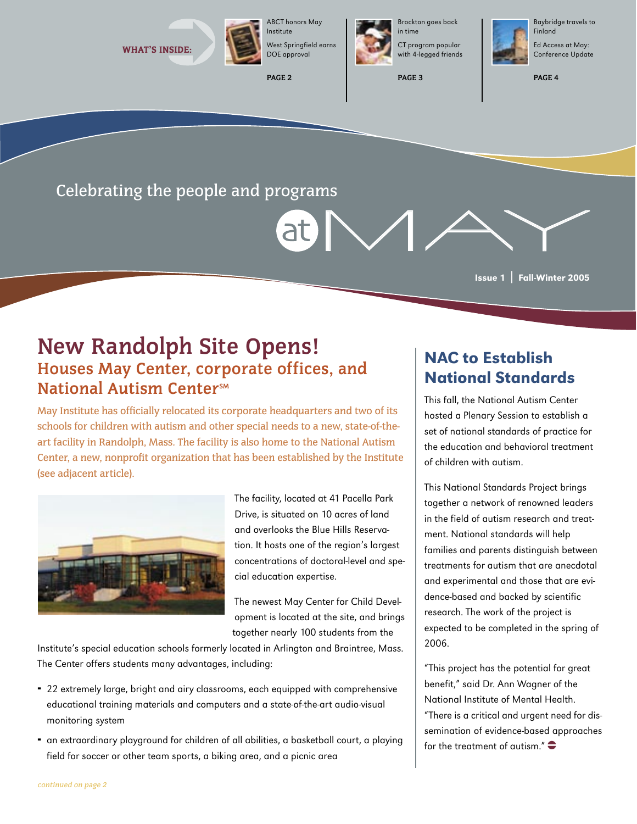

Institute West Springfield earns DOE approval

**PAGE 2**



Brockton goes back in time CT program popular with 4-legged friends

**PAGE 3**



Baybridge travels to

Ed Access at May: Conference Update

**PAGE 4**

Celebrating the people and programs

Issue 1 | Fall-Winter 2005

## **New Randolph Site Opens! Houses May Center, corporate offices, and National Autism Center**<sub>SM</sub>

May Institute has officially relocated its corporate headquarters and two of its schools for children with autism and other special needs to a new, state-of-theart facility in Randolph, Mass. The facility is also home to the National Autism Center, a new, nonprofit organization that has been established by the Institute (see adjacent article).



The facility, located at 41 Pacella Park Drive, is situated on 10 acres of land and overlooks the Blue Hills Reservation. It hosts one of the region's largest concentrations of doctoral-level and special education expertise.

The newest May Center for Child Development is located at the site, and brings together nearly 100 students from the

Institute's special education schools formerly located in Arlington and Braintree, Mass. The Center offers students many advantages, including:

- 22 extremely large, bright and airy classrooms, each equipped with comprehensive ¨ educational training materials and computers and a state-of-the-art audio-visual monitoring system
- an extraordinary playground for children of all abilities, a basketball court, a playing ¨ field for soccer or other team sports, a biking area, and a picnic area

## NAC to Establish National Standards

This fall, the National Autism Center hosted a Plenary Session to establish a set of national standards of practice for the education and behavioral treatment of children with autism.

This National Standards Project brings together a network of renowned leaders in the field of autism research and treatment. National standards will help families and parents distinguish between treatments for autism that are anecdotal and experimental and those that are evidence-based and backed by scientific research. The work of the project is expected to be completed in the spring of 2006.

"This project has the potential for great benefit," said Dr. Ann Wagner of the National Institute of Mental Health. "There is a critical and urgent need for dissemination of evidence-based approaches for the treatment of autism." $\bullet$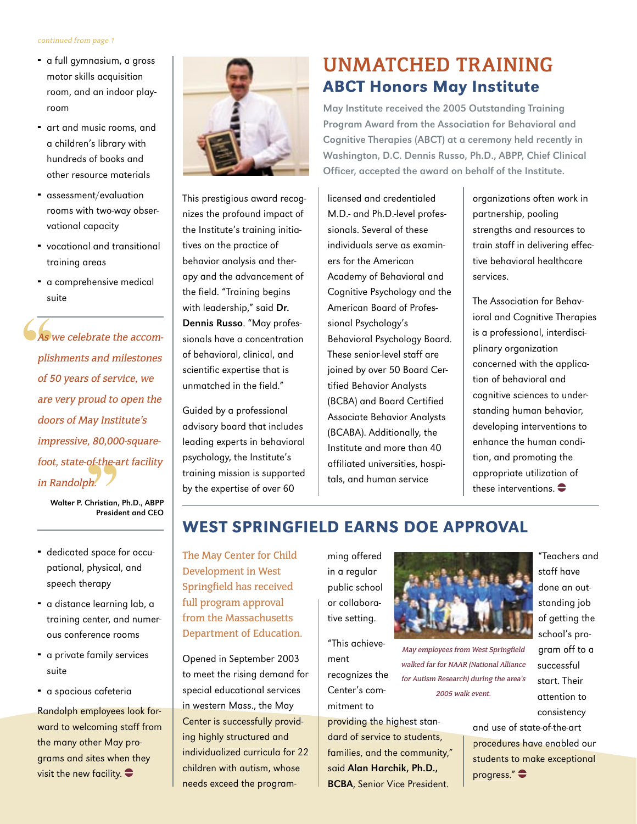#### continued from page 1

- **•** a full gymnasium, a gross motor skills acquisition room, and an indoor playroom
- art and music rooms, and a children's library with hundreds of books and other resource materials
- assessment/evaluation ¨ rooms with two-way observational capacity
- vocational and transitional ¨ training areas
- **•** a comprehensive medical suite

As we celebrate the accomplishments and milestones of 50 years of service, we are very proud to open the doors of May Institute's impressive, 80,000-squarefoot, state-of-the-art facility in Randolph.

> Walter P. Christian, Ph.D., ABPP President and CEO

- **•** dedicated space for occupational, physical, and speech therapy
- $\overline{\phantom{a}}$  a distance learning lab, a training center, and numerous conference rooms
- **•** a private family services suite
- a spacious cafeteria

Randolph employees look forward to welcoming staff from the many other May programs and sites when they visit the new facility.  $\bullet$ 



This prestigious award recognizes the profound impact of the Institute's training initiatives on the practice of behavior analysis and therapy and the advancement of the field. "Training begins with leadership," said Dr. Dennis Russo. "May professionals have a concentration of behavioral, clinical, and scientific expertise that is unmatched in the field."

Guided by a professional advisory board that includes leading experts in behavioral psychology, the Institute's training mission is supported by the expertise of over 60

## **UNMATCHED TRAINING** ABCT Honors May Institute

May Institute received the 2005 Outstanding Training Program Award from the Association for Behavioral and Cognitive Therapies (ABCT) at a ceremony held recently in Washington, D.C. Dennis Russo, Ph.D., ABPP, Chief Clinical Officer, accepted the award on behalf of the Institute.

licensed and credentialed M.D.- and Ph.D.-level professionals. Several of these individuals serve as examiners for the American Academy of Behavioral and Cognitive Psychology and the American Board of Professional Psychology's Behavioral Psychology Board. These senior-level staff are joined by over 50 Board Certified Behavior Analysts (BCBA) and Board Certified Associate Behavior Analysts (BCABA). Additionally, the Institute and more than 40 affiliated universities, hospitals, and human service

organizations often work in partnership, pooling strengths and resources to train staff in delivering effective behavioral healthcare services.

The Association for Behavioral and Cognitive Therapies is a professional, interdisciplinary organization concerned with the application of behavioral and cognitive sciences to understanding human behavior, developing interventions to enhance the human condition, and promoting the appropriate utilization of these interventions.  $\bullet$ 

## WEST SPRINGFIELD EARNS DOE APPROVAL

The May Center for Child Development in West Springfield has received full program approval from the Massachusetts Department of Education.

Opened in September 2003 to meet the rising demand for special educational services in western Mass., the May Center is successfully providing highly structured and individualized curricula for 22 children with autism, whose needs exceed the program-

ming offered in a regular public school or collaborative setting.

"This achievement

recognizes the Center's commitment to

providing the highest standard of service to students, families, and the community," said Alan Harchik, Ph.D., BCBA, Senior Vice President.



May employees from West Springfield walked far for NAAR (National Alliance for Autism Research) during the area's 2005 walk event.

"Teachers and staff have done an outstanding job of getting the school's program off to a successful start. Their attention to consistency

and use of state-of-the-art procedures have enabled our students to make exceptional progress." $\bullet$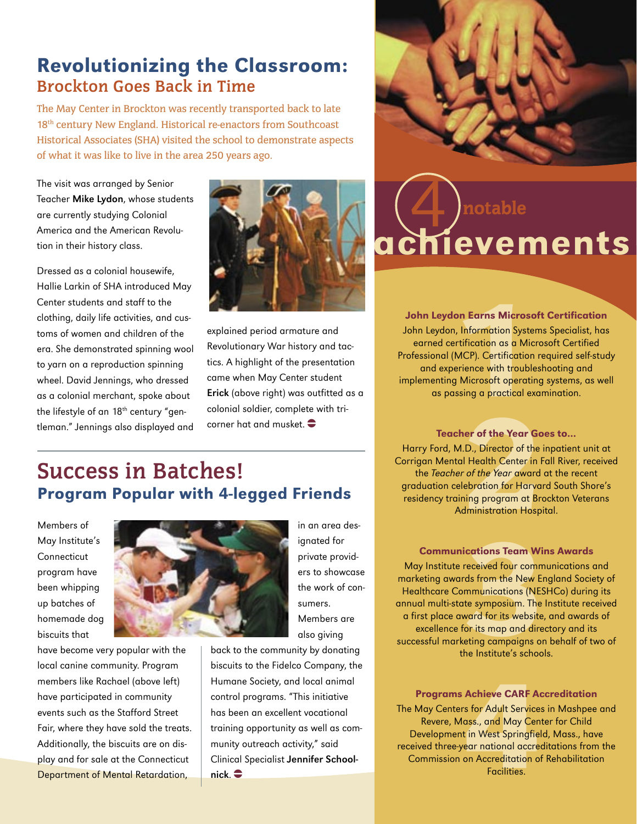## Revolutionizing the Classroom: **Brockton Goes Back in Time**

The May Center in Brockton was recently transported back to late 18<sup>th</sup> century New England. Historical re-enactors from Southcoast Historical Associates (SHA) visited the school to demonstrate aspects of what it was like to live in the area 250 years ago.

The visit was arranged by Senior Teacher Mike Lydon, whose students are currently studying Colonial America and the American Revolution in their history class.

Dressed as a colonial housewife, Hallie Larkin of SHA introduced May Center students and staff to the clothing, daily life activities, and customs of women and children of the era. She demonstrated spinning wool to yarn on a reproduction spinning wheel. David Jennings, who dressed as a colonial merchant, spoke about the lifestyle of an 18<sup>th</sup> century "gentleman." Jennings also displayed and



explained period armature and Revolutionary War history and tactics. A highlight of the presentation came when May Center student Erick (above right) was outfitted as a colonial soldier, complete with tricorner hat and musket.  $\bullet$ 

# achievements notable

John Leydon Earns Microsoft Certification John Leydon, Information Systems Specialist, has earned certification as a Microsoft Certified Professional (MCP). Certification required self-study and experience with troubleshooting and implementing Microsoft operating systems, as well as passing a practical examination.

# **Success in Batches!** Program Popular with 4-legged Friends

Members of May Institute's **Connecticut** program have been whipping up batches of homemade dog biscuits that

have become very popular with the local canine community. Program members like Rachael (above left) have participated in community events such as the Stafford Street Fair, where they have sold the treats. Additionally, the biscuits are on display and for sale at the Connecticut Department of Mental Retardation,



in an area designated for private providers to showcase the work of consumers. Members are also giving

back to the community by donating biscuits to the Fidelco Company, the Humane Society, and local animal control programs. "This initiative has been an excellent vocational training opportunity as well as community outreach activity," said Clinical Specialist Jennifer School $nick.$  $\bullet$ 

#### Teacher of the Year Goes to… Harry Ford, M.D., Director of the inpatient unit at Corrigan Mental Health Center in Fall River, received the Teacher of the Year award at the recent graduation celebration for Harvard South Shore's residency training program at Brockton Veterans

Administration Hospital.

Communications Team Wins Awards

May Institute received four communications and marketing awards from the New England Society of Healthcare Communications (NESHCo) during its annual multi-state symposium. The Institute received a first place award for its website, and awards of excellence for its map and directory and its successful marketing campaigns on behalf of two of the Institute's schools.

Programs Achieve CARF Accreditation The May Centers for Adult Services in Mashpee and Revere, Mass., and May Center for Child Development in West Springfield, Mass., have received three-year national accreditations from the Commission on Accreditation of Rehabilitation Facilities.